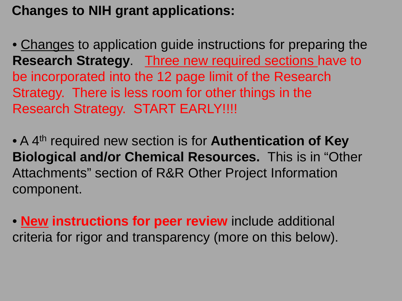# **Changes to NIH grant applications:**

• Changes to application guide instructions for preparing the **Research Strategy**. Three new required sections have to be incorporated into the 12 page limit of the Research Strategy. There is less room for other things in the Research Strategy. START EARLY!!!!

• A 4th required new section is for **Authentication of Key Biological and/or Chemical Resources.** This is in "Other Attachments" section of R&R Other Project Information component.

• **New instructions for peer review** include additional criteria for rigor and transparency (more on this below).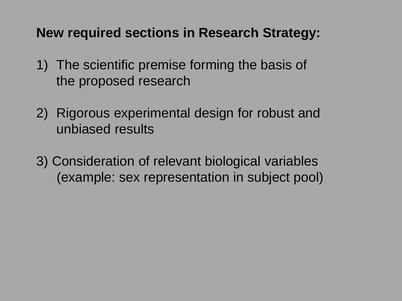**New required sections in Research Strategy:**

- 1) The scientific premise forming the basis of the proposed research
- 2) Rigorous experimental design for robust and unbiased results
- 3) Consideration of relevant biological variables (example: sex representation in subject pool)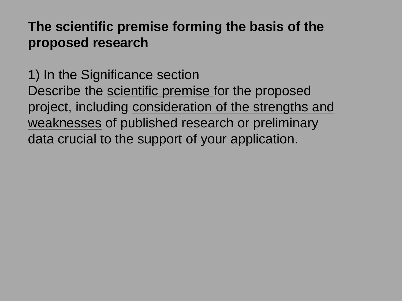### **The scientific premise forming the basis of the proposed research**

1) In the Significance section Describe the scientific premise for the proposed project, including consideration of the strengths and weaknesses of published research or preliminary data crucial to the support of your application.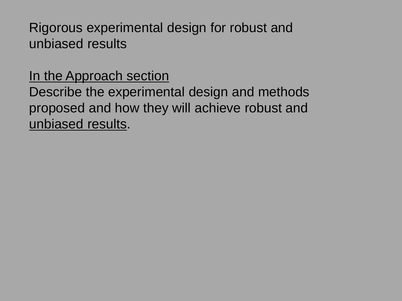Rigorous experimental design for robust and unbiased results

### In the Approach section

Describe the experimental design and methods proposed and how they will achieve robust and unbiased results.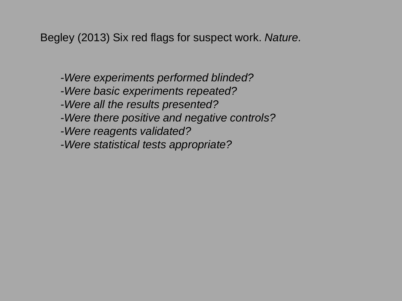Begley (2013) Six red flags for suspect work. *Nature.*

- *-Were experiments performed blinded?*
- *-Were basic experiments repeated?*
- *-Were all the results presented?*
- *-Were there positive and negative controls?*
- *-Were reagents validated?*
- *-Were statistical tests appropriate?*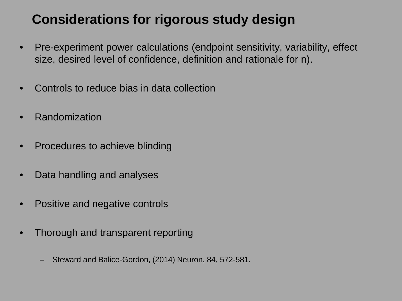- Pre-experiment power calculations (endpoint sensitivity, variability, effect size, desired level of confidence, definition and rationale for n).
- Controls to reduce bias in data collection
- **Randomization**
- Procedures to achieve blinding
- Data handling and analyses
- Positive and negative controls
- Thorough and transparent reporting
	- Steward and Balice-Gordon, (2014) Neuron, 84, 572-581.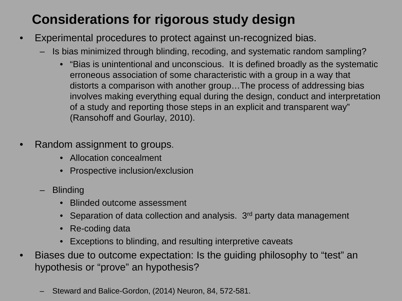- Experimental procedures to protect against un-recognized bias.
	- Is bias minimized through blinding, recoding, and systematic random sampling?
		- "Bias is unintentional and unconscious. It is defined broadly as the systematic erroneous association of some characteristic with a group in a way that distorts a comparison with another group…The process of addressing bias involves making everything equal during the design, conduct and interpretation of a study and reporting those steps in an explicit and transparent way" (Ransohoff and Gourlay, 2010).
- Random assignment to groups.
	- Allocation concealment
	- Prospective inclusion/exclusion
	- Blinding
		- Blinded outcome assessment
		- Separation of data collection and analysis.  $3<sup>rd</sup>$  party data management
		- Re-coding data
		- Exceptions to blinding, and resulting interpretive caveats
- Biases due to outcome expectation: Is the guiding philosophy to "test" an hypothesis or "prove" an hypothesis?
	- Steward and Balice-Gordon, (2014) Neuron, 84, 572-581.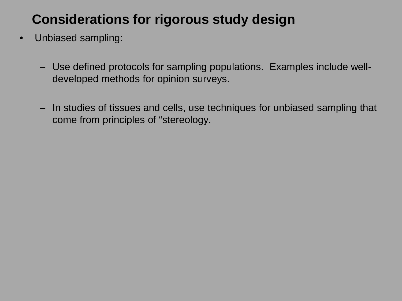- Unbiased sampling:
	- Use defined protocols for sampling populations. Examples include welldeveloped methods for opinion surveys.
	- In studies of tissues and cells, use techniques for unbiased sampling that come from principles of "stereology.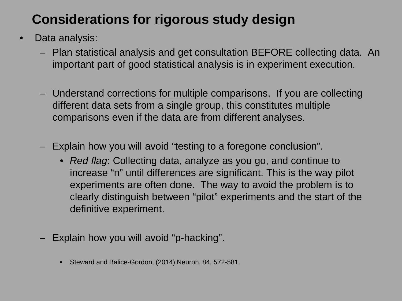- Data analysis:
	- Plan statistical analysis and get consultation BEFORE collecting data. An important part of good statistical analysis is in experiment execution.
	- Understand corrections for multiple comparisons. If you are collecting different data sets from a single group, this constitutes multiple comparisons even if the data are from different analyses.
	- Explain how you will avoid "testing to a foregone conclusion".
		- *Red flag*: Collecting data, analyze as you go, and continue to increase "n" until differences are significant. This is the way pilot experiments are often done. The way to avoid the problem is to clearly distinguish between "pilot" experiments and the start of the definitive experiment.
	- Explain how you will avoid "p-hacking".
		- Steward and Balice-Gordon, (2014) Neuron, 84, 572-581.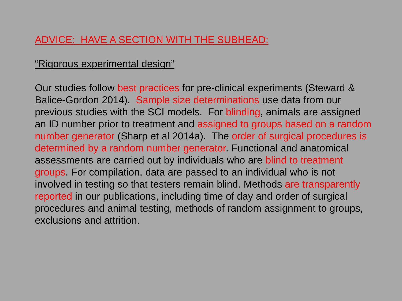### ADVICE: HAVE A SECTION WITH THE SUBHEAD:

#### "Rigorous experimental design"

Our studies follow best practices for pre-clinical experiments (Steward & Balice-Gordon 2014). Sample size determinations use data from our previous studies with the SCI models. For blinding, animals are assigned an ID number prior to treatment and assigned to groups based on a random number generator (Sharp et al 2014a). The order of surgical procedures is determined by a random number generator. Functional and anatomical assessments are carried out by individuals who are blind to treatment groups. For compilation, data are passed to an individual who is not involved in testing so that testers remain blind. Methods are transparently reported in our publications, including time of day and order of surgical procedures and animal testing, methods of random assignment to groups, exclusions and attrition.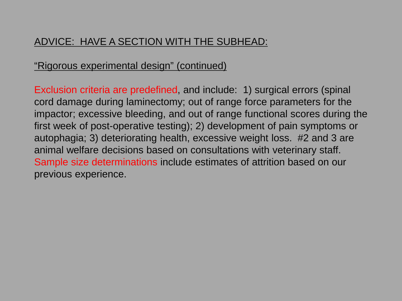### ADVICE: HAVE A SECTION WITH THE SUBHEAD:

#### "Rigorous experimental design" (continued)

Exclusion criteria are predefined, and include: 1) surgical errors (spinal cord damage during laminectomy; out of range force parameters for the impactor; excessive bleeding, and out of range functional scores during the first week of post-operative testing); 2) development of pain symptoms or autophagia; 3) deteriorating health, excessive weight loss. #2 and 3 are animal welfare decisions based on consultations with veterinary staff. Sample size determinations include estimates of attrition based on our previous experience.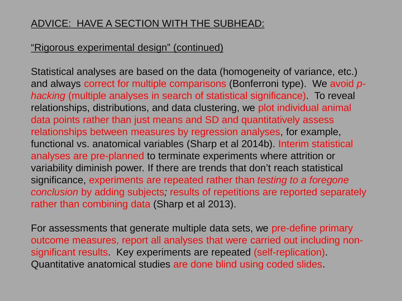### ADVICE: HAVE A SECTION WITH THE SUBHEAD:

#### "Rigorous experimental design" (continued)

Statistical analyses are based on the data (homogeneity of variance, etc.) and always correct for multiple comparisons (Bonferroni type). We avoid *phacking* (multiple analyses in search of statistical significance). To reveal relationships, distributions, and data clustering, we plot individual animal data points rather than just means and SD and quantitatively assess relationships between measures by regression analyses, for example, functional vs. anatomical variables (Sharp et al 2014b). Interim statistical analyses are pre-planned to terminate experiments where attrition or variability diminish power. If there are trends that don't reach statistical significance, experiments are repeated rather than *testing to a foregone conclusion* by adding subjects*;* results of repetitions are reported separately rather than combining data (Sharp et al 2013).

For assessments that generate multiple data sets, we pre-define primary outcome measures, report all analyses that were carried out including nonsignificant results. Key experiments are repeated (self-replication). Quantitative anatomical studies are done blind using coded slides.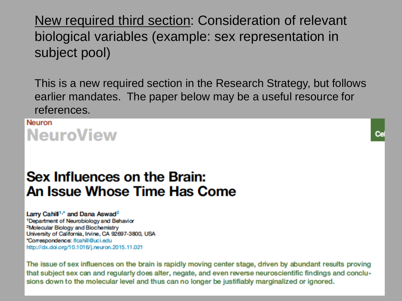New required third section: Consideration of relevant biological variables (example: sex representation in subject pool)

This is a new required section in the Research Strategy, but follows earlier mandates. The paper below may be a useful resource for references.

**Neuron NeuroView** 

### Sex Influences on the Brain: An Issue Whose Time Has Come

Larry Cahill<sup>1,\*</sup> and Dana Aswad<sup>2</sup> <sup>1</sup>Department of Neurobiology and Behavior <sup>2</sup>Molecular Biology and Biochemistry University of California, Irvine, CA 92697-3800, USA \*Correspondence: Ifcahill@uci.edu http://dx.doi.org/10.1016/j.neuron.2015.11.021

The issue of sex influences on the brain is rapidly moving center stage, driven by abundant results proving that subject sex can and regularly does alter, negate, and even reverse neuroscientific findings and conclusions down to the molecular level and thus can no longer be justifiably marginalized or ignored.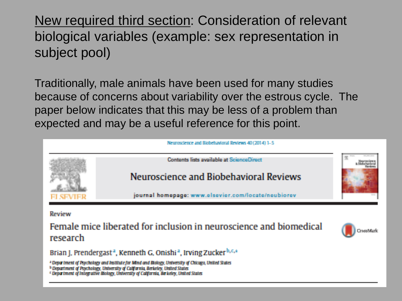New required third section: Consideration of relevant biological variables (example: sex representation in subject pool)

Traditionally, male animals have been used for many studies because of concerns about variability over the estrous cycle. The paper below indicates that this may be less of a problem than expected and may be a useful reference for this point.



<sup>h</sup> Department of Psychology, University of California Berkeley, United States

<sup>c</sup> Department of Integrative Blokov, University of California, Barkeley, United States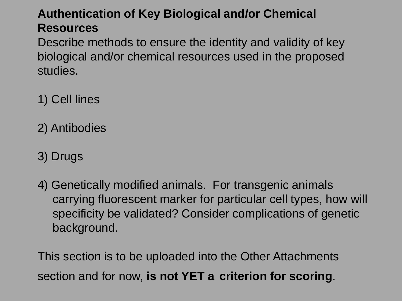### **Authentication of Key Biological and/or Chemical Resources**

Describe methods to ensure the identity and validity of key biological and/or chemical resources used in the proposed studies.

- 1) Cell lines
- 2) Antibodies
- 3) Drugs
- 4) Genetically modified animals. For transgenic animals carrying fluorescent marker for particular cell types, how will specificity be validated? Consider complications of genetic background.

This section is to be uploaded into the Other Attachments section and for now, **is not YET a criterion for scoring**.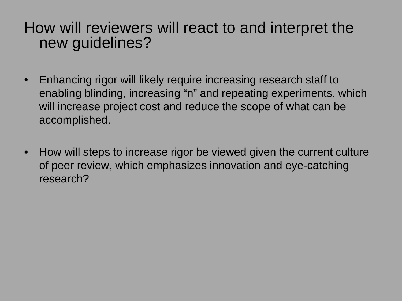# How will reviewers will react to and interpret the new guidelines?

- Enhancing rigor will likely require increasing research staff to enabling blinding, increasing "n" and repeating experiments, which will increase project cost and reduce the scope of what can be accomplished.
- How will steps to increase rigor be viewed given the current culture of peer review, which emphasizes innovation and eye-catching research?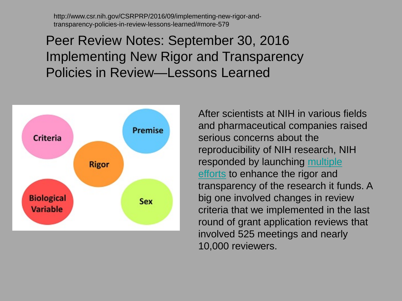http://www.csr.nih.gov/CSRPRP/2016/09/implementing-new-rigor-andtransparency-policies-in-review-lessons-learned/#more-579

Peer Review Notes: September 30, 2016 Implementing New Rigor and Transparency Policies in Review—Lessons Learned



After scientists at NIH in various fields and pharmaceutical companies raised serious concerns about the reproducibility of NIH research, NIH responded by launching multiple efforts [to enhance the rigor and](http://grants.nih.gov/reproducibility/index.htm#guidance)  transparency of the research it funds. A big one involved changes in review criteria that we implemented in the last round of grant application reviews that involved 525 meetings and nearly 10,000 reviewers.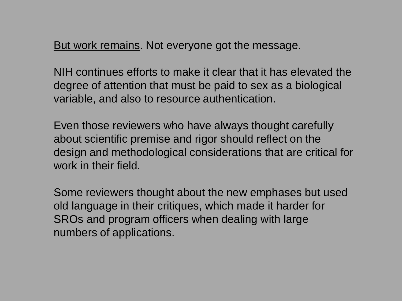But work remains. Not everyone got the message.

NIH continues efforts to make it clear that it has elevated the degree of attention that must be paid to sex as a biological variable, and also to resource authentication.

Even those reviewers who have always thought carefully about scientific premise and rigor should reflect on the design and methodological considerations that are critical for work in their field.

Some reviewers thought about the new emphases but used old language in their critiques, which made it harder for SROs and program officers when dealing with large numbers of applications.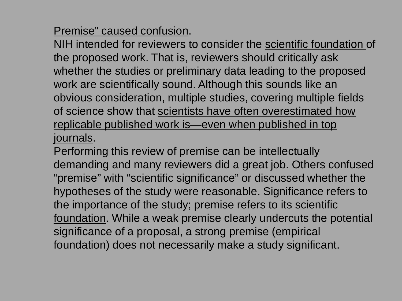Premise" caused confusion.

NIH intended for reviewers to consider the scientific foundation of the proposed work. That is, reviewers should critically ask whether the studies or preliminary data leading to the proposed work are scientifically sound. Although this sounds like an obvious consideration, multiple studies, covering multiple fields of science show that scientists have often overestimated how replicable published work is—even when published in top journals.

Performing this review of premise can be intellectually demanding and many reviewers did a great job. Others confused "premise" with "scientific significance" or discussed whether the hypotheses of the study were reasonable. Significance refers to the importance of the study; premise refers to its scientific foundation. While a weak premise clearly undercuts the potential significance of a proposal, a strong premise (empirical foundation) does not necessarily make a study significant.